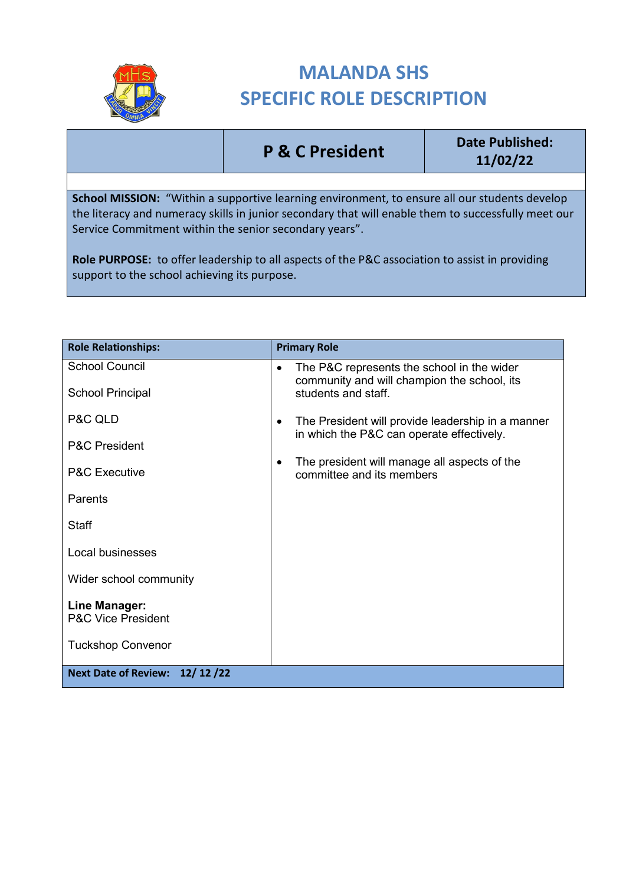

## **MALANDA SHS SPECIFIC ROLE DESCRIPTION**

**P & C President Date Published: 11/02/22**

**School MISSION:** "Within a supportive learning environment, to ensure all our students develop the literacy and numeracy skills in junior secondary that will enable them to successfully meet our Service Commitment within the senior secondary years".

**Role PURPOSE:** to offer leadership to all aspects of the P&C association to assist in providing support to the school achieving its purpose.

| <b>Role Relationships:</b>                     | <b>Primary Role</b>                                                                                         |
|------------------------------------------------|-------------------------------------------------------------------------------------------------------------|
| <b>School Council</b>                          | The P&C represents the school in the wider<br>$\bullet$<br>community and will champion the school, its      |
| <b>School Principal</b>                        | students and staff.                                                                                         |
| P&C QLD                                        | The President will provide leadership in a manner<br>$\bullet$<br>in which the P&C can operate effectively. |
| <b>P&amp;C President</b>                       |                                                                                                             |
| <b>P&amp;C Executive</b>                       | The president will manage all aspects of the<br>٠<br>committee and its members                              |
| Parents                                        |                                                                                                             |
| <b>Staff</b>                                   |                                                                                                             |
| Local businesses                               |                                                                                                             |
| Wider school community                         |                                                                                                             |
| Line Manager:<br><b>P&amp;C Vice President</b> |                                                                                                             |
| <b>Tuckshop Convenor</b>                       |                                                                                                             |
| Next Date of Review: 12/12/22                  |                                                                                                             |